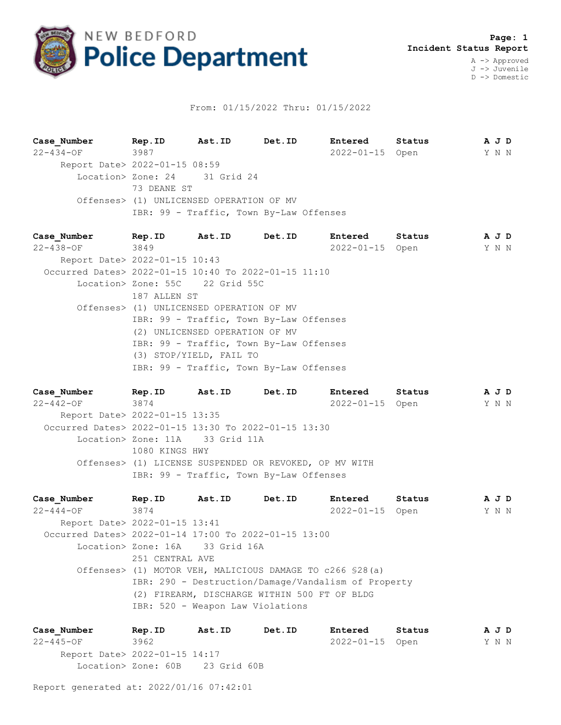

## From: 01/15/2022 Thru: 01/15/2022

**Case\_Number Rep.ID Ast.ID Det.ID Entered Status A J D** 22-434-OF 3987 2022-01-15 Open Y N N Report Date> 2022-01-15 08:59 Location> Zone: 24 31 Grid 24 73 DEANE ST Offenses> (1) UNLICENSED OPERATION OF MV IBR: 99 - Traffic, Town By-Law Offenses

| Case Number                                          |                                                                           | Rep. ID Ast. ID Det. ID         |                                         | <b>Entered</b>  | Status | A J D |  |  |
|------------------------------------------------------|---------------------------------------------------------------------------|---------------------------------|-----------------------------------------|-----------------|--------|-------|--|--|
| 22-438-OF 3849                                       |                                                                           |                                 |                                         | 2022-01-15 Open |        | Y N N |  |  |
| Report Date> 2022-01-15 10:43                        |                                                                           |                                 |                                         |                 |        |       |  |  |
| Occurred Dates> 2022-01-15 10:40 To 2022-01-15 11:10 |                                                                           |                                 |                                         |                 |        |       |  |  |
|                                                      |                                                                           | Location> Zone: 55C 22 Grid 55C |                                         |                 |        |       |  |  |
|                                                      | 187 ALLEN ST                                                              |                                 |                                         |                 |        |       |  |  |
|                                                      | Offenses> (1) UNLICENSED OPERATION OF MV                                  |                                 |                                         |                 |        |       |  |  |
|                                                      | IBR: 99 - Traffic, Town By-Law Offenses<br>(2) UNLICENSED OPERATION OF MV |                                 |                                         |                 |        |       |  |  |
|                                                      |                                                                           |                                 |                                         |                 |        |       |  |  |
|                                                      |                                                                           |                                 | IBR: 99 - Traffic, Town By-Law Offenses |                 |        |       |  |  |
|                                                      |                                                                           | (3) STOP/YIELD, FAIL TO         |                                         |                 |        |       |  |  |
|                                                      |                                                                           |                                 | IBR: 99 - Traffic, Town By-Law Offenses |                 |        |       |  |  |

**Case\_Number Rep.ID Ast.ID Det.ID Entered Status A J D** 22-442-OF 3874 2022-01-15 Open Y N N Report Date> 2022-01-15 13:35 Occurred Dates> 2022-01-15 13:30 To 2022-01-15 13:30 Location> Zone: 11A 33 Grid 11A 1080 KINGS HWY Offenses> (1) LICENSE SUSPENDED OR REVOKED, OP MV WITH IBR: 99 - Traffic, Town By-Law Offenses

**Case\_Number Rep.ID Ast.ID Det.ID Entered Status A J D** 22-444-OF 3874 2022-01-15 Open Y N N Report Date> 2022-01-15 13:41 Occurred Dates> 2022-01-14 17:00 To 2022-01-15 13:00 Location> Zone: 16A 33 Grid 16A 251 CENTRAL AVE Offenses> (1) MOTOR VEH, MALICIOUS DAMAGE TO c266 §28(a) IBR: 290 - Destruction/Damage/Vandalism of Property (2) FIREARM, DISCHARGE WITHIN 500 FT OF BLDG IBR: 520 - Weapon Law Violations

**Case\_Number Rep.ID Ast.ID Det.ID Entered Status A J D** 22-445-OF 3962 2022-01-15 Open Y N N Report Date> 2022-01-15 14:17 Location> Zone: 60B 23 Grid 60B